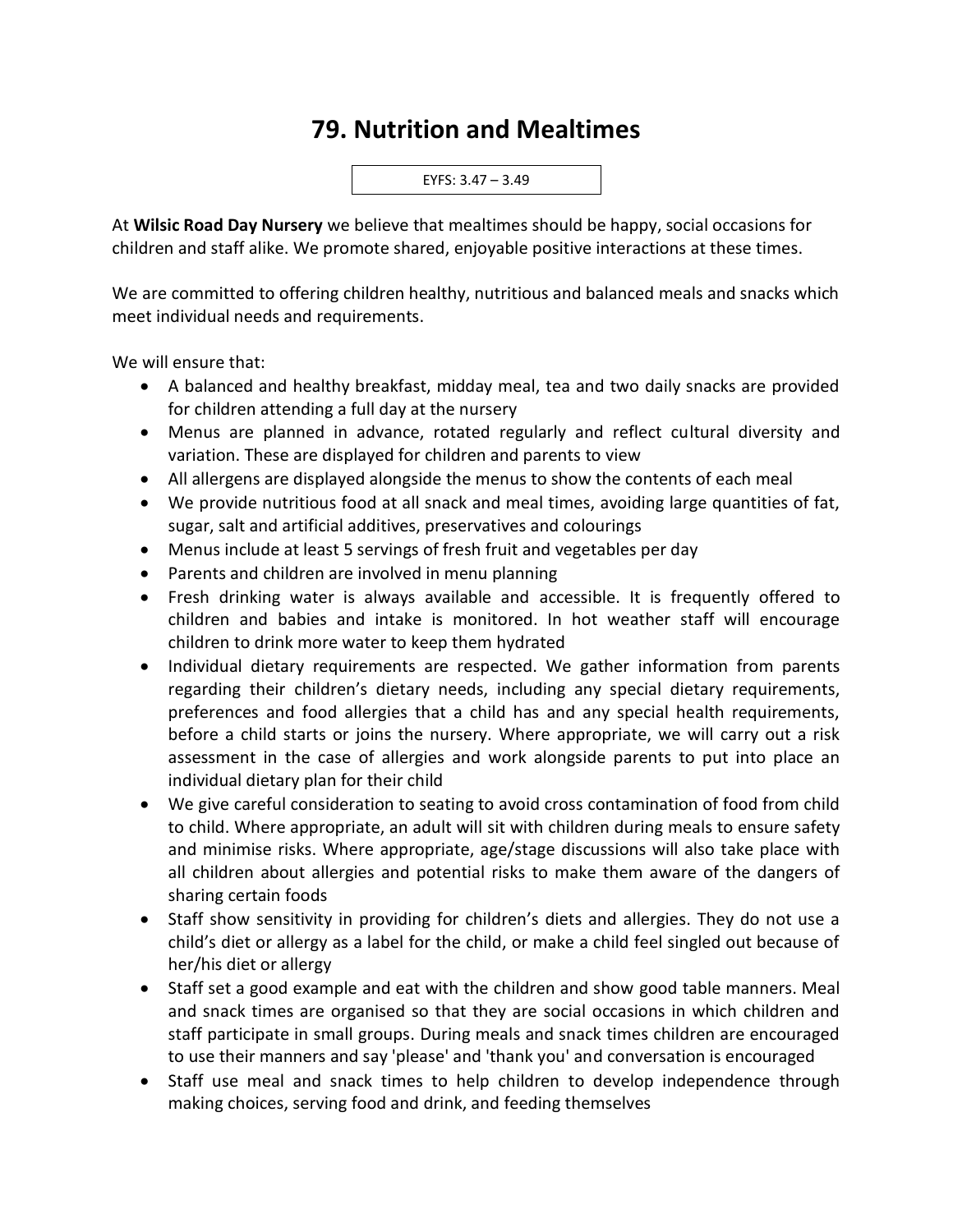## **79. Nutrition and Mealtimes**



At **Wilsic Road Day Nursery** we believe that mealtimes should be happy, social occasions for children and staff alike. We promote shared, enjoyable positive interactions at these times.

We are committed to offering children healthy, nutritious and balanced meals and snacks which meet individual needs and requirements.

We will ensure that:

- A balanced and healthy breakfast, midday meal, tea and two daily snacks are provided for children attending a full day at the nursery
- Menus are planned in advance, rotated regularly and reflect cultural diversity and variation. These are displayed for children and parents to view
- All allergens are displayed alongside the menus to show the contents of each meal
- We provide nutritious food at all snack and meal times, avoiding large quantities of fat, sugar, salt and artificial additives, preservatives and colourings
- Menus include at least 5 servings of fresh fruit and vegetables per day
- Parents and children are involved in menu planning
- Fresh drinking water is always available and accessible. It is frequently offered to children and babies and intake is monitored. In hot weather staff will encourage children to drink more water to keep them hydrated
- Individual dietary requirements are respected. We gather information from parents regarding their children's dietary needs, including any special dietary requirements, preferences and food allergies that a child has and any special health requirements, before a child starts or joins the nursery. Where appropriate, we will carry out a risk assessment in the case of allergies and work alongside parents to put into place an individual dietary plan for their child
- We give careful consideration to seating to avoid cross contamination of food from child to child. Where appropriate, an adult will sit with children during meals to ensure safety and minimise risks. Where appropriate, age/stage discussions will also take place with all children about allergies and potential risks to make them aware of the dangers of sharing certain foods
- Staff show sensitivity in providing for children's diets and allergies. They do not use a child's diet or allergy as a label for the child, or make a child feel singled out because of her/his diet or allergy
- Staff set a good example and eat with the children and show good table manners. Meal and snack times are organised so that they are social occasions in which children and staff participate in small groups. During meals and snack times children are encouraged to use their manners and say 'please' and 'thank you' and conversation is encouraged
- Staff use meal and snack times to help children to develop independence through making choices, serving food and drink, and feeding themselves